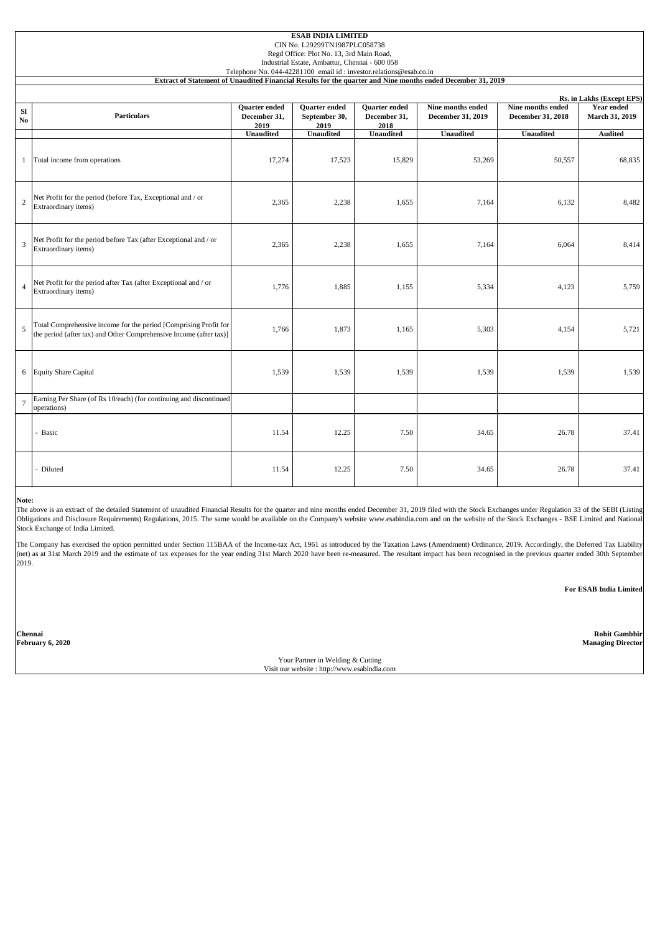| <b>ESAB INDIA LIMITED</b><br>CIN No. L29299TN1987PLC058738<br>Regd Office: Plot No. 13, 3rd Main Road,<br>Industrial Estate, Ambattur, Chennai - 600 058<br>Telephone No. 044-42281100 email id: investor.relations@esab.co.in |                                                                                                                                        |                                       |                                               |                                       |                                        |                                        |                                                           |  |  |  |  |  |
|--------------------------------------------------------------------------------------------------------------------------------------------------------------------------------------------------------------------------------|----------------------------------------------------------------------------------------------------------------------------------------|---------------------------------------|-----------------------------------------------|---------------------------------------|----------------------------------------|----------------------------------------|-----------------------------------------------------------|--|--|--|--|--|
| Extract of Statement of Unaudited Financial Results for the quarter and Nine months ended December 31, 2019                                                                                                                    |                                                                                                                                        |                                       |                                               |                                       |                                        |                                        |                                                           |  |  |  |  |  |
| <b>SI</b><br>No.                                                                                                                                                                                                               | Particulars                                                                                                                            | Quarter ended<br>December 31,<br>2019 | <b>Ouarter</b> ended<br>September 30,<br>2019 | Quarter ended<br>December 31,<br>2018 | Nine months ended<br>December 31, 2019 | Nine months ended<br>December 31, 2018 | Rs. in Lakhs (Except EPS)<br>Year ended<br>March 31, 2019 |  |  |  |  |  |
|                                                                                                                                                                                                                                |                                                                                                                                        | <b>Unaudited</b>                      | <b>Unaudited</b>                              | <b>Unaudited</b>                      | <b>Unaudited</b>                       | Unaudited                              | <b>Audited</b>                                            |  |  |  |  |  |
| -1                                                                                                                                                                                                                             | Total income from operations                                                                                                           | 17,274                                | 17,523                                        | 15,829                                | 53,269                                 | 50,557                                 | 68,835                                                    |  |  |  |  |  |
| 2                                                                                                                                                                                                                              | Net Profit for the period (before Tax, Exceptional and / or<br>Extraordinary items)                                                    | 2,365                                 | 2,238                                         | 1,655                                 | 7,164                                  | 6,132                                  | 8,482                                                     |  |  |  |  |  |
| 3                                                                                                                                                                                                                              | Net Profit for the period before Tax (after Exceptional and / or<br>Extraordinary items)                                               | 2,365                                 | 2,238                                         | 1,655                                 | 7,164                                  | 6,064                                  | 8,414                                                     |  |  |  |  |  |
| $\overline{4}$                                                                                                                                                                                                                 | Net Profit for the period after Tax (after Exceptional and / or<br>Extraordinary items)                                                | 1,776                                 | 1,885                                         | 1,155                                 | 5,334                                  | 4,123                                  | 5,759                                                     |  |  |  |  |  |
| 5                                                                                                                                                                                                                              | Total Comprehensive income for the period [Comprising Profit for<br>the period (after tax) and Other Comprehensive Income (after tax)] | 1,766                                 | 1,873                                         | 1,165                                 | 5,303                                  | 4,154                                  | 5,721                                                     |  |  |  |  |  |
|                                                                                                                                                                                                                                | 6 Equity Share Capital                                                                                                                 | 1,539                                 | 1,539                                         | 1,539                                 | 1,539                                  | 1,539                                  | 1,539                                                     |  |  |  |  |  |
| $7\phantom{.0}$                                                                                                                                                                                                                | Earning Per Share (of Rs 10/each) (for continuing and discontinued<br>operations)                                                      |                                       |                                               |                                       |                                        |                                        |                                                           |  |  |  |  |  |
|                                                                                                                                                                                                                                | Basic<br>L.                                                                                                                            | 11.54                                 | 12.25                                         | 7.50                                  | 34.65                                  | 26.78                                  | 37.41                                                     |  |  |  |  |  |
|                                                                                                                                                                                                                                | - Diluted                                                                                                                              | 11.54                                 | 12.25                                         | 7.50                                  | 34.65                                  | 26.78                                  | 37.41                                                     |  |  |  |  |  |

**Note:**

The above is an extract of the detailed Statement of unaudited Financial Results for the quarter and nine months ended December 31, 2019 filed with the Stock Exchanges under Regulation 33 of the SEBI (Listing Obligations and Disclosure Requirements) Regulations, 2015. The same would be available on the Company's website www.esabindia.com and on the website of the Stock Exchanges - BSE Limited and National Stock Exchange of India Limited.

The Company has exercised the option permitted under Section 115BAA of the Income-tax Act, 1961 as introduced by the Taxation Laws (Amendment) Ordinance, 2019. Accordingly, the Deferred Tax Liability (net) as at 31st March 2019 and the estimate of tax expenses for the year ending 31st March 2020 have been re-measured. The resultant impact has been recognised in the previous quarter ended 30th September  $2019.$ 

**For ESAB India Limited**

**Chennai Rohit Gambhir February 6, 2020 Managing Director**

> Your Partner in Welding & Cutting Visit our website : http://www.esabindia.com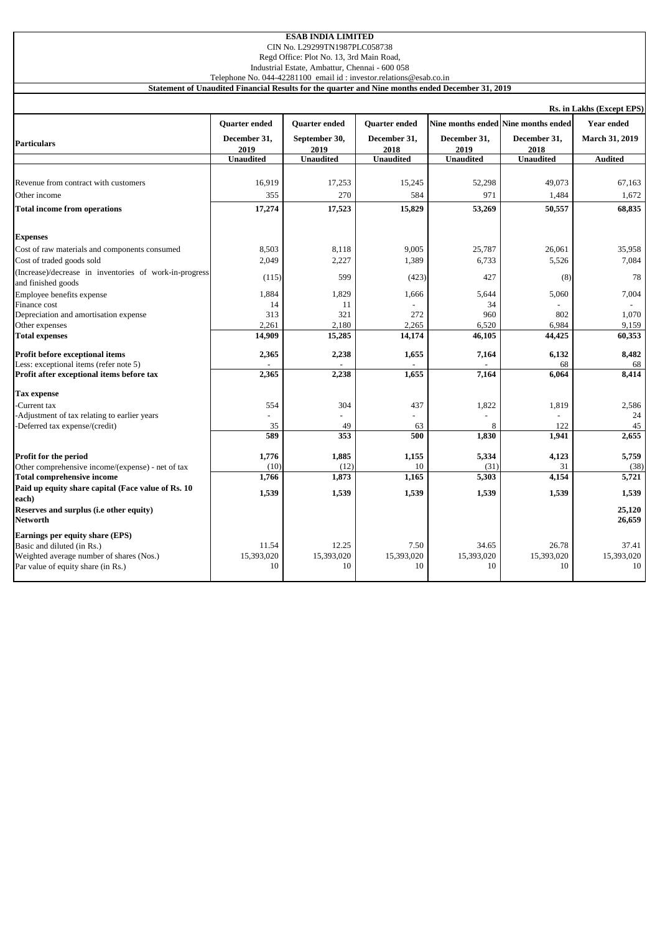| Regd Office: Plot No. 13, 3rd Main Road,<br>Industrial Estate, Ambattur, Chennai - 600 058<br>Telephone No. 044-42281100 email id: investor.relations@esab.co.in |                                      |                                |                               |                                                                                                  |                                                     |                                            |  |  |  |  |
|------------------------------------------------------------------------------------------------------------------------------------------------------------------|--------------------------------------|--------------------------------|-------------------------------|--------------------------------------------------------------------------------------------------|-----------------------------------------------------|--------------------------------------------|--|--|--|--|
|                                                                                                                                                                  |                                      |                                |                               | Statement of Unaudited Financial Results for the quarter and Nine months ended December 31, 2019 |                                                     |                                            |  |  |  |  |
| Rs. in Lakhs (Except EPS)                                                                                                                                        |                                      |                                |                               |                                                                                                  |                                                     |                                            |  |  |  |  |
| <b>Particulars</b>                                                                                                                                               | <b>Ouarter ended</b><br>December 31, | Quarter ended<br>September 30, | Quarter ended<br>December 31, | December 31,                                                                                     | Nine months ended Nine months ended<br>December 31, | <b>Year ended</b><br><b>March 31, 2019</b> |  |  |  |  |
|                                                                                                                                                                  | 2019<br><b>Unaudited</b>             | 2019<br><b>Unaudited</b>       | 2018<br><b>Unaudited</b>      | 2019<br><b>Unaudited</b>                                                                         | 2018<br><b>Unaudited</b>                            | <b>Audited</b>                             |  |  |  |  |
| Revenue from contract with customers                                                                                                                             | 16,919                               | 17,253                         | 15,245                        | 52,298                                                                                           | 49,073                                              | 67,163                                     |  |  |  |  |
| Other income                                                                                                                                                     | 355                                  | 270                            | 584                           | 971                                                                                              | 1,484                                               | 1,672                                      |  |  |  |  |
| <b>Total income from operations</b>                                                                                                                              | 17,274                               | 17,523                         | 15,829                        | 53,269                                                                                           | 50,557                                              | 68,835                                     |  |  |  |  |
| <b>Expenses</b>                                                                                                                                                  |                                      |                                |                               |                                                                                                  |                                                     |                                            |  |  |  |  |
| Cost of raw materials and components consumed                                                                                                                    | 8.503                                | 8,118                          | 9.005                         | 25,787                                                                                           | 26,061                                              | 35,958                                     |  |  |  |  |
| Cost of traded goods sold                                                                                                                                        | 2,049                                | 2,227                          | 1,389                         | 6,733                                                                                            | 5,526                                               | 7,084                                      |  |  |  |  |
| (Increase)/decrease in inventories of work-in-progress<br>and finished goods                                                                                     | (115)                                | 599                            | (423)                         | 427                                                                                              | (8)                                                 | 78                                         |  |  |  |  |
| Employee benefits expense                                                                                                                                        | 1,884                                | 1,829                          | 1,666                         | 5,644                                                                                            | 5,060                                               | 7,004                                      |  |  |  |  |
| Finance cost                                                                                                                                                     | 14                                   | 11                             |                               | 34                                                                                               |                                                     |                                            |  |  |  |  |
| Depreciation and amortisation expense                                                                                                                            | 313                                  | 321                            | 272                           | 960                                                                                              | 802                                                 | 1,070                                      |  |  |  |  |
| Other expenses                                                                                                                                                   | 2,261                                | 2,180                          | 2,265                         | 6,520                                                                                            | 6,984                                               | 9,159                                      |  |  |  |  |
| <b>Total expenses</b>                                                                                                                                            | 14,909                               | 15,285                         | 14,174                        | 46,105                                                                                           | 44,425                                              | 60,353                                     |  |  |  |  |
| Profit before exceptional items                                                                                                                                  | 2,365                                | 2,238                          | 1,655                         | 7,164                                                                                            | 6,132                                               | 8,482                                      |  |  |  |  |
| Less: exceptional items (refer note 5)                                                                                                                           |                                      |                                |                               |                                                                                                  | 68                                                  | 68                                         |  |  |  |  |
| Profit after exceptional items before tax                                                                                                                        | 2,365                                | 2,238                          | 1,655                         | 7,164                                                                                            | 6,064                                               | 8,414                                      |  |  |  |  |
| <b>Tax expense</b>                                                                                                                                               |                                      |                                |                               |                                                                                                  |                                                     |                                            |  |  |  |  |
| Current tax                                                                                                                                                      | 554                                  | 304                            | 437                           | 1,822                                                                                            | 1,819                                               | 2,586                                      |  |  |  |  |
| Adjustment of tax relating to earlier years                                                                                                                      |                                      |                                |                               |                                                                                                  |                                                     | 24                                         |  |  |  |  |
| Deferred tax expense/(credit)                                                                                                                                    | 35                                   | 49                             | 63                            | 8                                                                                                | 122                                                 | 45                                         |  |  |  |  |
|                                                                                                                                                                  | 589                                  | 353                            | 500                           | 1,830                                                                                            | 1,941                                               | 2,655                                      |  |  |  |  |
| Profit for the period                                                                                                                                            | 1,776                                | 1,885                          | 1,155                         | 5,334                                                                                            | 4,123                                               | 5,759                                      |  |  |  |  |
| Other comprehensive income/(expense) - net of tax                                                                                                                | (10)                                 | (12)                           | 10                            | (31)                                                                                             | 31                                                  | (38)                                       |  |  |  |  |
| <b>Total comprehensive income</b>                                                                                                                                | 1,766                                | 1,873                          | 1,165                         | 5,303                                                                                            | 4,154                                               | 5,721                                      |  |  |  |  |
| Paid up equity share capital (Face value of Rs. 10)<br>each)                                                                                                     | 1,539                                | 1,539                          | 1,539                         | 1,539                                                                                            | 1,539                                               | 1,539                                      |  |  |  |  |
| Reserves and surplus (i.e other equity)<br>Networth                                                                                                              |                                      |                                |                               |                                                                                                  |                                                     | 25,120<br>26,659                           |  |  |  |  |
| Earnings per equity share (EPS)<br>Basic and diluted (in Rs.)<br>Weighted average number of shares (Nos.)<br>Par value of equity share (in Rs.)                  | 11.54<br>15,393,020<br>10            | 12.25<br>15,393,020<br>10      | 7.50<br>15,393,020<br>10      | 34.65<br>15,393,020<br>10                                                                        | 26.78<br>15,393,020<br>10                           | 37.41<br>15,393,020<br>10                  |  |  |  |  |

**ESAB INDIA LIMITED** CIN No. L29299TN1987PLC058738